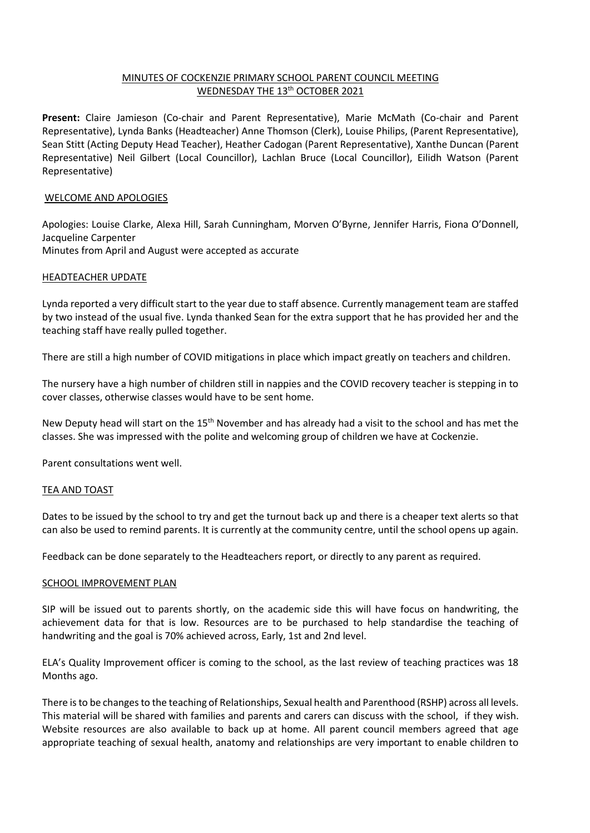# MINUTES OF COCKENZIE PRIMARY SCHOOL PARENT COUNCIL MEETING WEDNESDAY THE 13<sup>th</sup> OCTOBER 2021

**Present:** Claire Jamieson (Co-chair and Parent Representative), Marie McMath (Co-chair and Parent Representative), Lynda Banks (Headteacher) Anne Thomson (Clerk), Louise Philips, (Parent Representative), Sean Stitt (Acting Deputy Head Teacher), Heather Cadogan (Parent Representative), Xanthe Duncan (Parent Representative) Neil Gilbert (Local Councillor), Lachlan Bruce (Local Councillor), Eilidh Watson (Parent Representative)

# WELCOME AND APOLOGIES

Apologies: Louise Clarke, Alexa Hill, Sarah Cunningham, Morven O'Byrne, Jennifer Harris, Fiona O'Donnell, Jacqueline Carpenter Minutes from April and August were accepted as accurate

# HEADTEACHER UPDATE

Lynda reported a very difficult start to the year due to staff absence. Currently management team are staffed by two instead of the usual five. Lynda thanked Sean for the extra support that he has provided her and the teaching staff have really pulled together.

There are still a high number of COVID mitigations in place which impact greatly on teachers and children.

The nursery have a high number of children still in nappies and the COVID recovery teacher is stepping in to cover classes, otherwise classes would have to be sent home.

New Deputy head will start on the 15<sup>th</sup> November and has already had a visit to the school and has met the classes. She was impressed with the polite and welcoming group of children we have at Cockenzie.

Parent consultations went well.

# TEA AND TOAST

Dates to be issued by the school to try and get the turnout back up and there is a cheaper text alerts so that can also be used to remind parents. It is currently at the community centre, until the school opens up again.

Feedback can be done separately to the Headteachers report, or directly to any parent as required.

# SCHOOL IMPROVEMENT PLAN

SIP will be issued out to parents shortly, on the academic side this will have focus on handwriting, the achievement data for that is low. Resources are to be purchased to help standardise the teaching of handwriting and the goal is 70% achieved across, Early, 1st and 2nd level.

ELA's Quality Improvement officer is coming to the school, as the last review of teaching practices was 18 Months ago.

There is to be changes to the teaching of Relationships, Sexual health and Parenthood (RSHP) across all levels. This material will be shared with families and parents and carers can discuss with the school, if they wish. Website resources are also available to back up at home. All parent council members agreed that age appropriate teaching of sexual health, anatomy and relationships are very important to enable children to